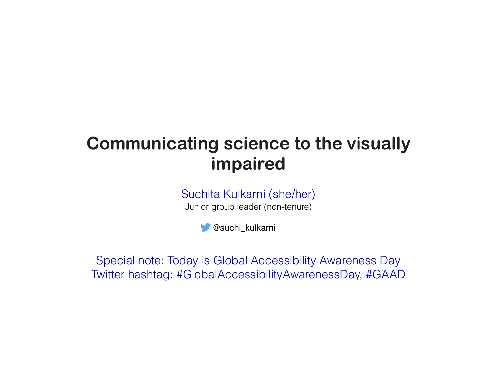## **Communicating science to the visually impaired**

Suchita Kulkarni (she/her) Junior group leader (non-tenure)

@suchi\_kulkarni

Special note: Today is Global Accessibility Awareness Day Twitter hashtag: #GlobalAccessibilityAwarenessDay, #GAAD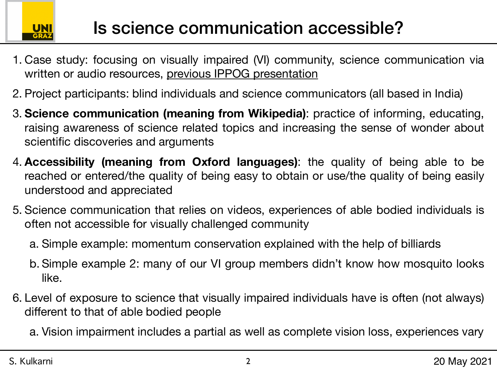

- 1. Case study: focusing on visually impaired (VI) community, science communication via written or audio resources, [previous IPPOG presentation](https://indico.cern.ch/event/963955/timetable/#20201202.detailed)
- 2. Project participants: blind individuals and science communicators (all based in India)
- 3. **Science communication (meaning from Wikipedia)**: practice of informing, educating, raising awareness of science related topics and increasing the sense of wonder about scientific discoveries and arguments
- 4. **Accessibility (meaning from Oxford languages)**: the quality of being able to be reached or entered/the quality of being easy to obtain or use/the quality of being easily understood and appreciated
- 5. Science communication that relies on videos, experiences of able bodied individuals is often not accessible for visually challenged community
	- a. Simple example: momentum conservation explained with the help of billiards
	- b. Simple example 2: many of our VI group members didn't know how mosquito looks like.
- 6. Level of exposure to science that visually impaired individuals have is often (not always) different to that of able bodied people

a. Vision impairment includes a partial as well as complete vision loss, experiences vary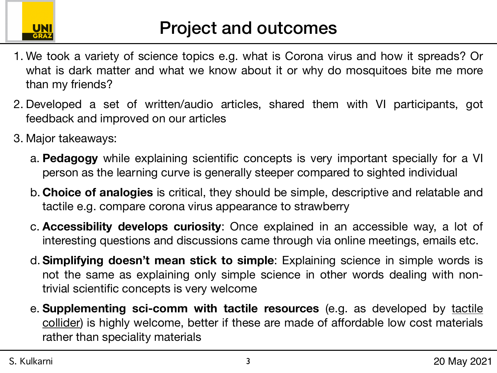

- 1. We took a variety of science topics e.g. what is Corona virus and how it spreads? Or what is dark matter and what we know about it or why do mosquitoes bite me more than my friends?
- 2. Developed a set of written/audio articles, shared them with VI participants, got feedback and improved on our articles
- 3. Major takeaways:
	- a. **Pedagogy** while explaining scientific concepts is very important specially for a VI person as the learning curve is generally steeper compared to sighted individual
	- b. **Choice of analogies** is critical, they should be simple, descriptive and relatable and tactile e.g. compare corona virus appearance to strawberry
	- c. **Accessibility develops curiosity**: Once explained in an accessible way, a lot of interesting questions and discussions came through via online meetings, emails etc.
	- d. **Simplifying doesn't mean stick to simple**: Explaining science in simple words is not the same as explaining only simple science in other words dealing with nontrivial scientific concepts is very welcome
	- e. **Supplementing sci-comm with tactile resources** (e.g. as developed by [tactile](http://tactilecollider.uk/)  [collider](http://tactilecollider.uk/)) is highly welcome, better if these are made of affordable low cost materials rather than speciality materials